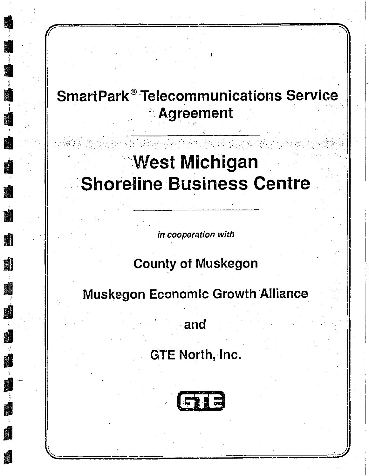## **SmartPark<sup>®</sup> Telecommunications Service Agreement**

## **West Michigan Shoreline Business Centre**

in cooperation with

**建设** 

E.

**County of Muskegon** 

Muskegon Economic Growth Alliance

and

**GTE North, Inc.**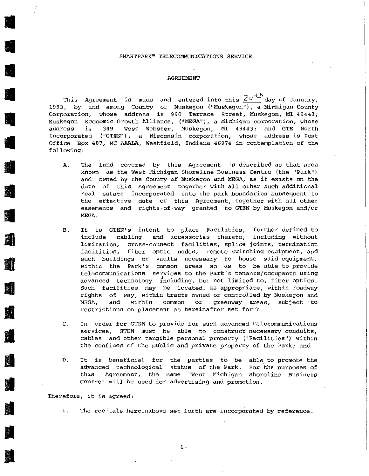## SMARTPARK® TELECOMMUNICATIONS SERVICE

## AGREEMENT

This Agreement is made and entered into this  $2\sigma^{4N\over 2}$  day of January, 1993, by and among County of Muskegon ("Muskegon"), a Michigan County **Corporation, whose address is 990 Terrace Street, Muskegon, MI 49443; Muskegon Economic Growth Alliance, ( <sup>11</sup> MEGA"), a Michigan corporation, whose**  address is 349 West Webster, Muskegon, MI 49443; and GTE North **Incorporated ( <sup>11</sup> GTEN <sup>11</sup> ) 1 a Wisconsin corporation, whose address is Post**  Office Box 407, MC AAALA, Westfield, Indiana 46074 in contemplation of the following:

- A. The land covered by this Agreement is described as that area **known as the west Michigan Shoreline Business Centre (the <sup>11</sup> Park<sup>11</sup> )**  and owned by the County of Muskegon and MEGA, as it exists on the date of this Agreement together with all other such additional **real estate incorporated into the park boundaries subsequent to**  the effective date of this Agreement, together with all other easements and rights-of-way granted to GTEN by Muskegon and/or MEGA.
- B. It is GTEN's intent to place Facilities, further defined to **include cabling and accessories thereto, including without limitation, cross-connect facilities, splice joints, termination**  fiber optic nodes, remote switching equipment, and **such buildings or vaults necessary to house said equipment,**  within the Park's common areas so as to be able to provide **telecommunications services to the Park's tenants/occupants using**  advanced technology i'ncluding, but not limited to, fiber optics . **Such facilities may be located, as appropriate, within roadway rights of way, within tracts owned or controlled by Muskegon and MEGA, and within common or greenway areas, subject to restrictions on placement as hereinafter set forth.**
- c. **In order for GTEN to provide for such advanced telecommunications services, GTEN must be able to construct necessary conduits,**  cables and other tangible personal property ("Facilities") within the confines of the public and private property of the Park; and
- D. It is beneficial for the parties to be able to promote the advanced technological status of the Park. For the purposes of **this Agreement, the name "West Michigan Shoreline Business**  Centre" will be used for advertising and promotion.

**Therefore, it is agreed:** 

•

•

।<br>सन् ।<br>सन् ।<br>सन् ।

 $\frac{1}{2}$ 

•

•

•

 $\mathcal{L}$ 

•

•

•

•

 $\frac{1}{\sqrt{2}}$ 

•

•

•

**J** 

1 . **The recitals hereinabove set forth are incorporated by reference.**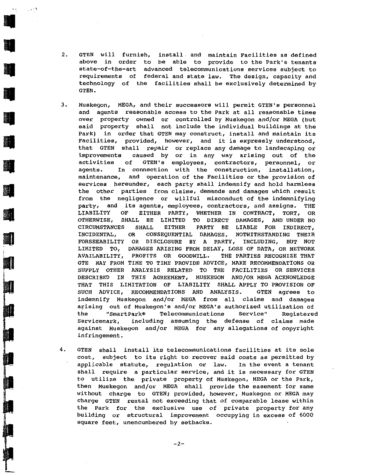2. GTEN will furnish, install. and maintain Facilities as defined above in order to be able to provide to the Park's tenants **state-of-the-art advanced telecommunications services subject to**  requirements of federal and state law. The design, capacity and technology of the facilities shall be exclusively determined by GTEN.

'''

 $\frac{1}{\sqrt{2}}$ 

 $\frac{1}{2}$ 

 $\mathcal{L}^{\text{max}}_{\text{max}}$ 

 $\frac{1}{2}$ 

**III** 

 $\frac{1}{2}$ 

 $\frac{1}{2}$ 

 $\frac{1}{2}$ 

 $\frac{1}{2}$ 

18

- 3. **Muskegon,** MEGA, **and their successors** will permit GTEN's personnel and agents reasonable access to the Park at all reasonable times **over** property **owned** or controlled by Muskegon and/or MEGA (but said property shall not include the individual buildings at the Park) in order that GTEN may construct, install and maintain its **Facilities, provided, however, and it is expressly understood,**  that GTEN shall repair or replace any damage to landscaping or improvements caused by or in any way arising out of the **activities of GTEN's employees, contractors, personnel, or agents. In connection with the construction, installation, maintenance, and operation of the Facilities or the provision of**  services hereunder, each party shall indemnify and hold harmless the other parties from claims, demands and damages which result from the negligence or willful misconduct of the indemnifying **party, and its agents, employees, contractors, and assigns. THE**  LIABILITY OF EITHER PARTY, WHETHER IN CONTRACT, TORT, OR OTHERWISE, SHALL BE LIMITED TO DIRECT DAMAGES, AND UNDER NO CIRCUMSTANCES SHALL EITHER PARTY BE LIABLE FOR INDIRECT, INCIDENTAL, OR CONSEQUENTIAL DAMAGES, NOTWITHSTANDING THEIR FORSEEABILITY OR DISCLOSURE BY A PARTY, INCLUDING, BUT NOT LIMITED TO, DAMAGES ARISING FROM DELAY, LOSS OF DATA, OR NETWORK AVAILABILITY, PROFITS OR GOODWILL. THE PARTIES RECOGNIZE THAT GTE MAY FROM TIME TO TIME PROVIDE ADVICE, MAKE RECOMMENDATIONS OR SUPPLY OTHER ANALYSIS RELATED TO THE FACILITIES OR SERVICES DESCRIBED IN THIS AGREEMENT, MUSKEGON AND/OR MEGA ACKNOWLEDGE THAT THIS LIMITATION OF LIABILITY SHALL APPLY TO PROVISION OF SUCH ADVICE, RECOMMENDATIONS AND ANALYSIS. GTEN agrees to indemnify Muskegon and/or MEGA from all claims and damages arising out of Muskegon's and/or MEGA's authorized utilization of the "SmartPark® Telecommunications Service" Reqistered **Servicemark, including assuming the defense of claims made**  against Muskegon and/or MEGA for any allegations of copyright **infringement.**
- 4. GTEN shall install its telecommunications facilities at its sole cost, subject to its right to recover said costs as permitted by applicable statute, regulation or law. In the event a tenant shall require a particular service, and it is necessary for GTEN to utilize the private property of Muskegon, MEGA or the Park, then Muskegon and/or MEGA shall provide the easement for same without charge to GTEN; provided, however, Muskegon or MEGA may **charge GTEN rental not exceeding that of comparable lease within the Park for the exclusive use of private property for any**  building or structural improvement occupying in excess of 6000 **square feet, unencumbered by setbacks.**

 $-2-$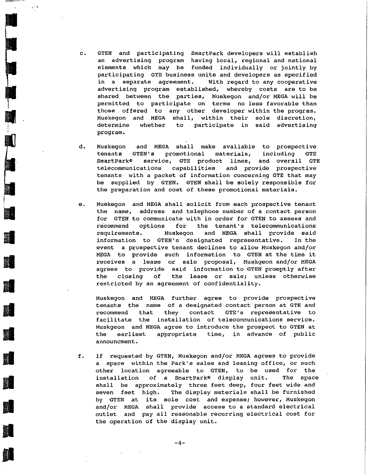c. GTEN and participating SmartPark developers will establish **an advertising program having local, regional and national**  elements which may be funded individually or jointly by participating GTE business units and developers as specified **in a separate agreement. With regard to any cooperative**  advertising program established, whereby costs are to be shared between the parties, Muskegon and/or MEGA will be permitted to participate on terms no less favorable than those offered to any other developer within the program. **Muskegon and MEGA shall, within their sole discretion, determine whether to participate in said advertising**  program.

 $\cdot$  ).

• <u>1999 - 1999 - 1999 - 1999 - 1999 - 1999 - 1999 - 1999 - 1999 - 1999 - 1999 - 1999 - 1999 - 1999 - 1999 - 19</u><br>1990 - 1990 - 1990 - 1990 - 1990 - 1990 - 1990 - 1990 - 1990 - 1990 - 1990 - 1990 - 1990 - 1990 - 1990 - 1990<br>

•

I

•

II

•

**d** 

•

•

**in** 

- d. Muskegon and MEGA shall make available to prospective tenants GTEN's promotional materials, including GTE SmartPark® service, GTE product lines, and overall GTE telecommunications capabilities and provide prospective tenants with a packet of information concerning GTE that may be supplied by GTEN. GTEN shall be solely responsible for the preparation and cost of these promotional materials.
- e . **Muskegon and MEGA shall solicit from each prospective tenant the name, address and telephone number of a contact person**  for GTEN to communicate with in order for GTEN to assess and **re.commend options for the tenant's telecommunications requirements. Muskegon and MEGA shall provide said**  information to GTEN's designated representative. In the event a prospective tenant declines to allow Muskegon and/or MEGA to provide such information to GTEN at the time it **receives a lease or sale proposal, Muskgeon and/or MEGA**  agrees to provide said information to GTEN promptly after **the closing of the lease or sale; unless otherwise**  restricted by an agreement of confidentiality.

Muskegon and MEGA further agree to provide prospective **tenants the name of a designated contact person at GTE and recommend that they contact GTE'S representative to facilitate the installation of telecommunications service.**  Muskgeon and MEGA agree to introduce the prospect to GTEN at **the earliest appropriate time, in advance of public announcment.** 

f. If requested by GTEN, Muskegon andjor MEGA agrees to provide **a space within the.Park's sales and leasing office, or such**  other location agreeable to GTEN, to be used for the installation of a smartPark® display unit. The space shall be approximately three feet deep, four feet wide and seven feet high. The display materials shall be furnished **by GTEN at its sole cost and expense; however, Muskegon and/or MEGA shall provide access to a standard electrical outlet and pay all reasonable recurring electrical cost for**  the operation of the display unit.

-4-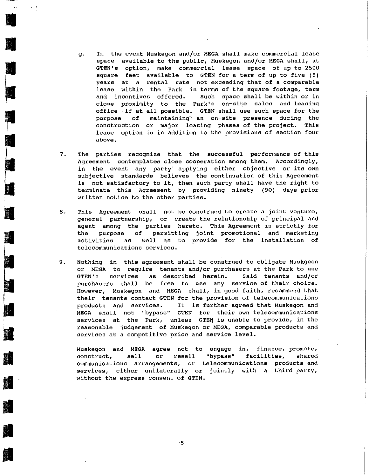**g. In the event Muskegon and/or MEGA shall make commercial lease**  space available to the public, Muskegon and/or MEGA shall, at **GTEN's option, make commercial lease space of up to 2500**  square feet available to GTEN for a term of up to five (5) **years at a rental rate not exceeding that of a comparable**  lease within the Park in terms of the square footage, term **and incentives offered. Such space shall be within or in close proximity to the Park's on-site sales and leasing**  office .if at all possible. GTEN shall use such space for the **purpose of** maintaining-~ **an on-site presence during the**  construction or major leasing phases of the project. This **lease option is in addition to the provisions of section four above.** 

•

 $\mathbf{r}$ 

•

•

 $\begin{bmatrix} - & & \\ & & \end{bmatrix}$ 

•

• III<br>• III<br>• III • III • III • III • III • III • III • III • III • III • III • III • III • III • III • III • III • III •

-

 $\mathbb{E}$  ,  $\blacksquare$ 

 $\begin{bmatrix} 1 & 1 & 1 \\ 1 & 1 & 1 \\ 1 & 1 & 1 \end{bmatrix}$ 

•

 $\blacksquare$ 

I ~ ..

**II** 

•

•

•

**• 日** 

**II** 

- 7. The parties recognize that the successful performance of this **Agreement contemplates close cooperation among them. Accordingly,**  in the event any party applying either objective or its own **subjective standards believes the continuation of this Agreement**  is not satisfactory to it, then such party shall have the right to terminate this Agreement by providing ninety (90) days prior written notice to the other parties.
- **8. This Agreement shall not be construed to create a joint venture, general partnership, or create the relationship of principal and**  agent among the parties hereto. This Agreement is strictly for the purpose of permitting joint promotional and marketing activities as well as to provide for the installation of **telecommunications services.**
- 9. Nothing in this agreement shall be construed to obligate Muskgeon or MEGA to require tenants and/or purchasers at the Park to use **GTEN's services as described herein. Said tenants and/or purchasers shall be free to use any service of their choice.**  However, Muskegon and MEGA shall, in good faith, recommend that **their tenants contact GTEN for the provision of telecommunications**  products and services. It is further agreed that Muskegon and **MEGA shall not "bypass" GTEN for their own telecommunications**  services at the Park, unless GTEN is unable to provide, in the reasonable judgement of Muskegon or MEGA, comparable products and **services at a competitive price and service level.**

**engage in, finance, promote,**  Muskegon and MEGA agree not to **"bypass" facilities, shared**  communications arrangements, or telecommunications products and services, either unilaterally or jointly with a third party, **construct, sell or resell without the express· consent of GTEN .**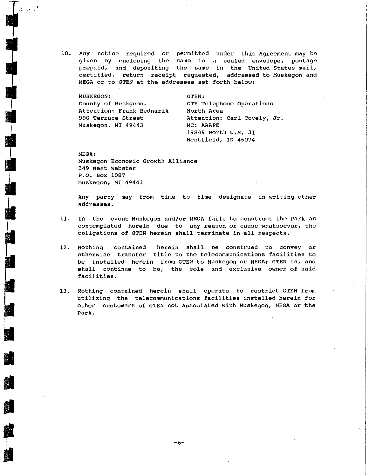10. Any **notice required** or permitted **under** this Agreement may be given by **enclosing** the **same** in a sealed **envelope,** postage prepaid, and depositing the **same** in the United States mail, certified, **return receipt requested,** addressed to Muskegon and MEGA or to GTEN at the addresses set forth below:

MUSKEGON: County of Muskgeon. Attention: Frank Bednarik 990 Terrace street Muskegon, MI 49443

 $\begin{bmatrix} \mathbf{v}_i & \mathbf{v}_i \\ \mathbf{v}_i & \mathbf{v}_i \end{bmatrix}$ 

l

**I** 

•

II

**Jl** 

**I** 

I

GTEN: GTE Telephone Operations North Area Attention: Carl Covely, Jr. MC: AAAPE 19845 North u.s. 31 Westfield, IN 46074

MEGA: Muskegon Economic Growth Alliance 349 West Webster P.O. Box 1087 Muskegon, MI 49443

Any party may from time to time designate in writing other **addresses.** 

- 11. In the event Muskegon and/or MEGA fails to construct the Park as **contemplated herein due to any reason or cause whatsoever, the**  obligations of GTEN herein shall terminate in all respects.
- 12. Nothing **contained herein** shall be **construed** to **convey** or **otherwise transfer** title to **the telecommunications facilities** to be installed **herein** from GTEN to Muskegon or MEGA; GTEN **is,** and shall **continue** to be, the **sole** and **exclusive owner of** said facilities.
- 13. Nothing contained herein shall operate to restrict GTEN from utilizing the telecommunications facilities installed herein for other customers of GTEN not associated with Muskegon, MEGA or the Park.

 $-6-$